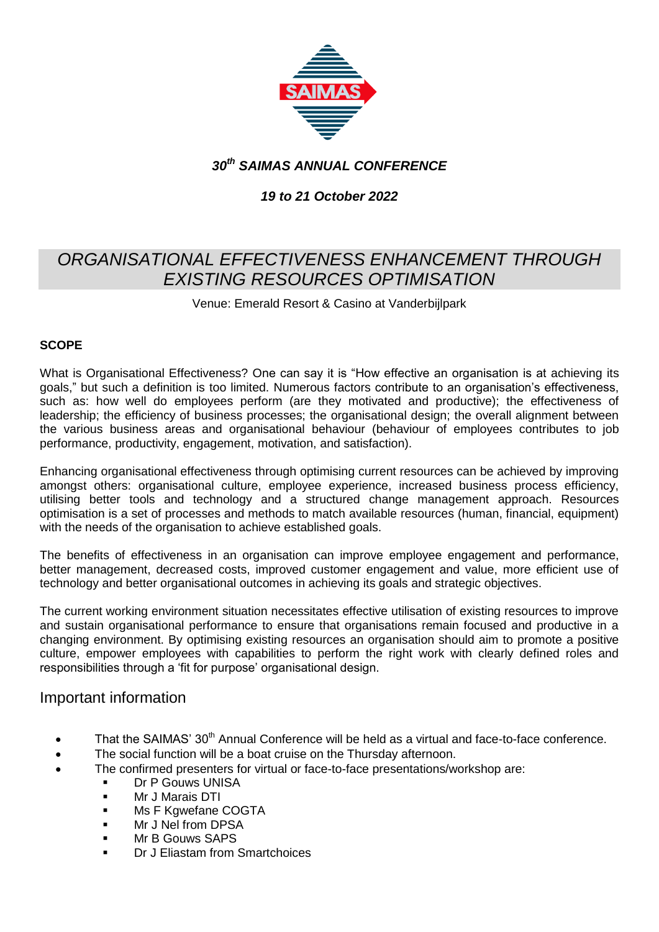

## *30th SAIMAS ANNUAL CONFERENCE*

### *19 to 21 October 2022*

# *ORGANISATIONAL EFFECTIVENESS ENHANCEMENT THROUGH EXISTING RESOURCES OPTIMISATION*

Venue: Emerald Resort & Casino at Vanderbijlpark

#### **SCOPE**

What is Organisational Effectiveness? One can say it is "How effective an organisation is at achieving its goals," but such a definition is too limited. Numerous factors contribute to an organisation's effectiveness, such as: how well do employees perform (are they motivated and productive); the effectiveness of leadership; the efficiency of business processes; the organisational design; the overall alignment between the various business areas and organisational behaviour (behaviour of employees contributes to job performance, productivity, engagement, motivation, and satisfaction).

Enhancing organisational effectiveness through optimising current resources can be achieved by improving amongst others: organisational culture, employee experience, increased business process efficiency, utilising better tools and technology and a structured change management approach. Resources optimisation is a set of processes and methods to match available resources (human, financial, equipment) with the needs of the organisation to achieve established goals.

The benefits of effectiveness in an organisation can improve employee engagement and performance, better management, decreased costs, improved customer engagement and value, more efficient use of technology and better organisational outcomes in achieving its goals and strategic objectives.

The current working environment situation necessitates effective utilisation of existing resources to improve and sustain organisational performance to ensure that organisations remain focused and productive in a changing environment. By optimising existing resources an organisation should aim to promote a positive culture, empower employees with capabilities to perform the right work with clearly defined roles and responsibilities through a 'fit for purpose' organisational design.

### Important information

- That the SAIMAS' 30<sup>th</sup> Annual Conference will be held as a virtual and face-to-face conference.
- The social function will be a boat cruise on the Thursday afternoon.
- The confirmed presenters for virtual or face-to-face presentations/workshop are:
	- Dr P Gouws UNISA
	- Mr J Marais DTI
	- **Ms F Kgwefane COGTA**
	- **Mr J Nel from DPSA**
	- Mr B Gouws SAPS
	- Dr J Eliastam from Smartchoices